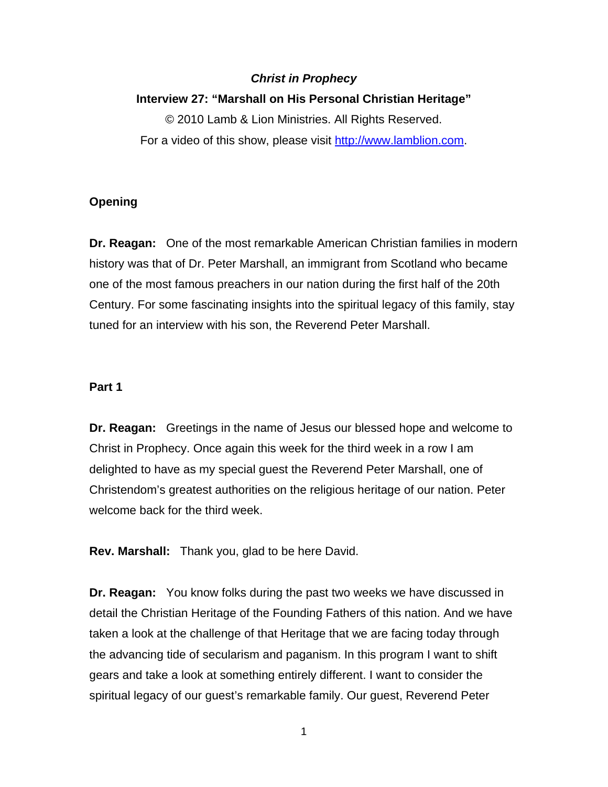## *Christ in Prophecy*

## **Interview 27: "Marshall on His Personal Christian Heritage"**

© 2010 Lamb & Lion Ministries. All Rights Reserved. For a video of this show, please visit [http://www.lamblion.com](http://www.lamblion.com/).

## **Opening**

**Dr. Reagan:** One of the most remarkable American Christian families in modern history was that of Dr. Peter Marshall, an immigrant from Scotland who became one of the most famous preachers in our nation during the first half of the 20th Century. For some fascinating insights into the spiritual legacy of this family, stay tuned for an interview with his son, the Reverend Peter Marshall.

#### **Part 1**

**Dr. Reagan:** Greetings in the name of Jesus our blessed hope and welcome to Christ in Prophecy. Once again this week for the third week in a row I am delighted to have as my special guest the Reverend Peter Marshall, one of Christendom's greatest authorities on the religious heritage of our nation. Peter welcome back for the third week.

**Rev. Marshall:** Thank you, glad to be here David.

**Dr. Reagan:** You know folks during the past two weeks we have discussed in detail the Christian Heritage of the Founding Fathers of this nation. And we have taken a look at the challenge of that Heritage that we are facing today through the advancing tide of secularism and paganism. In this program I want to shift gears and take a look at something entirely different. I want to consider the spiritual legacy of our guest's remarkable family. Our guest, Reverend Peter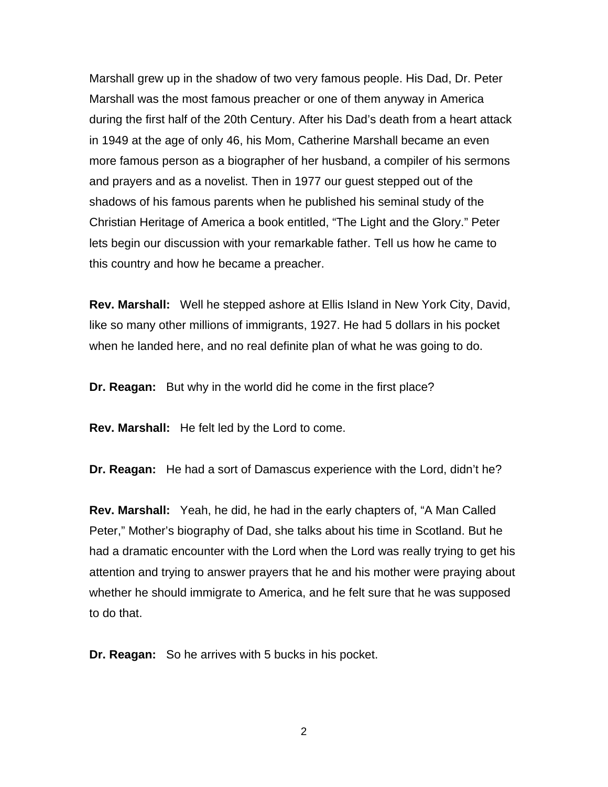Marshall grew up in the shadow of two very famous people. His Dad, Dr. Peter Marshall was the most famous preacher or one of them anyway in America during the first half of the 20th Century. After his Dad's death from a heart attack in 1949 at the age of only 46, his Mom, Catherine Marshall became an even more famous person as a biographer of her husband, a compiler of his sermons and prayers and as a novelist. Then in 1977 our guest stepped out of the shadows of his famous parents when he published his seminal study of the Christian Heritage of America a book entitled, "The Light and the Glory." Peter lets begin our discussion with your remarkable father. Tell us how he came to this country and how he became a preacher.

**Rev. Marshall:** Well he stepped ashore at Ellis Island in New York City, David, like so many other millions of immigrants, 1927. He had 5 dollars in his pocket when he landed here, and no real definite plan of what he was going to do.

**Dr. Reagan:** But why in the world did he come in the first place?

**Rev. Marshall:** He felt led by the Lord to come.

**Dr. Reagan:** He had a sort of Damascus experience with the Lord, didn't he?

**Rev. Marshall:** Yeah, he did, he had in the early chapters of, "A Man Called Peter," Mother's biography of Dad, she talks about his time in Scotland. But he had a dramatic encounter with the Lord when the Lord was really trying to get his attention and trying to answer prayers that he and his mother were praying about whether he should immigrate to America, and he felt sure that he was supposed to do that.

**Dr. Reagan:** So he arrives with 5 bucks in his pocket.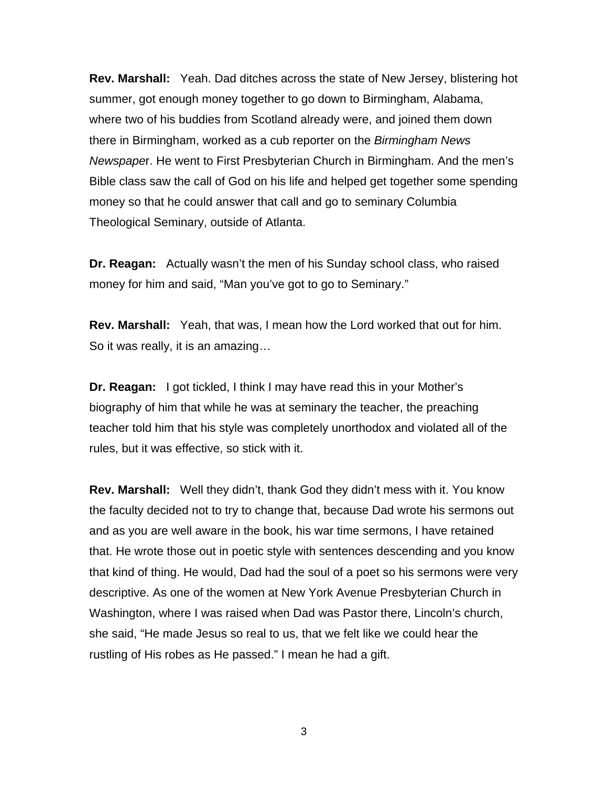**Rev. Marshall:** Yeah. Dad ditches across the state of New Jersey, blistering hot summer, got enough money together to go down to Birmingham, Alabama, where two of his buddies from Scotland already were, and joined them down there in Birmingham, worked as a cub reporter on the *Birmingham News Newspape*r. He went to First Presbyterian Church in Birmingham. And the men's Bible class saw the call of God on his life and helped get together some spending money so that he could answer that call and go to seminary Columbia Theological Seminary, outside of Atlanta.

**Dr. Reagan:** Actually wasn't the men of his Sunday school class, who raised money for him and said, "Man you've got to go to Seminary."

**Rev. Marshall:** Yeah, that was, I mean how the Lord worked that out for him. So it was really, it is an amazing…

**Dr. Reagan:** I got tickled, I think I may have read this in your Mother's biography of him that while he was at seminary the teacher, the preaching teacher told him that his style was completely unorthodox and violated all of the rules, but it was effective, so stick with it.

**Rev. Marshall:** Well they didn't, thank God they didn't mess with it. You know the faculty decided not to try to change that, because Dad wrote his sermons out and as you are well aware in the book, his war time sermons, I have retained that. He wrote those out in poetic style with sentences descending and you know that kind of thing. He would, Dad had the soul of a poet so his sermons were very descriptive. As one of the women at New York Avenue Presbyterian Church in Washington, where I was raised when Dad was Pastor there, Lincoln's church, she said, "He made Jesus so real to us, that we felt like we could hear the rustling of His robes as He passed." I mean he had a gift.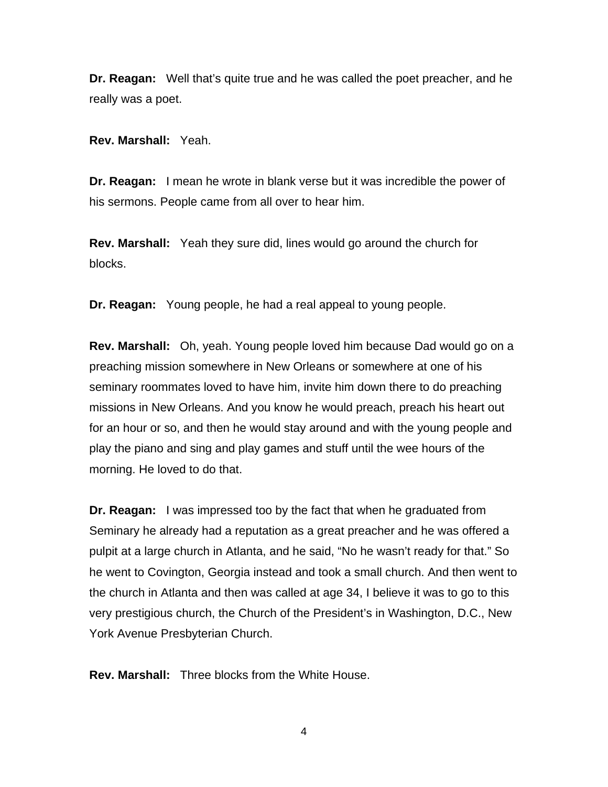**Dr. Reagan:** Well that's quite true and he was called the poet preacher, and he really was a poet.

**Rev. Marshall:** Yeah.

**Dr. Reagan:** I mean he wrote in blank verse but it was incredible the power of his sermons. People came from all over to hear him.

**Rev. Marshall:** Yeah they sure did, lines would go around the church for blocks.

**Dr. Reagan:** Young people, he had a real appeal to young people.

**Rev. Marshall:** Oh, yeah. Young people loved him because Dad would go on a preaching mission somewhere in New Orleans or somewhere at one of his seminary roommates loved to have him, invite him down there to do preaching missions in New Orleans. And you know he would preach, preach his heart out for an hour or so, and then he would stay around and with the young people and play the piano and sing and play games and stuff until the wee hours of the morning. He loved to do that.

**Dr. Reagan:** I was impressed too by the fact that when he graduated from Seminary he already had a reputation as a great preacher and he was offered a pulpit at a large church in Atlanta, and he said, "No he wasn't ready for that." So he went to Covington, Georgia instead and took a small church. And then went to the church in Atlanta and then was called at age 34, I believe it was to go to this very prestigious church, the Church of the President's in Washington, D.C., New York Avenue Presbyterian Church.

**Rev. Marshall:** Three blocks from the White House.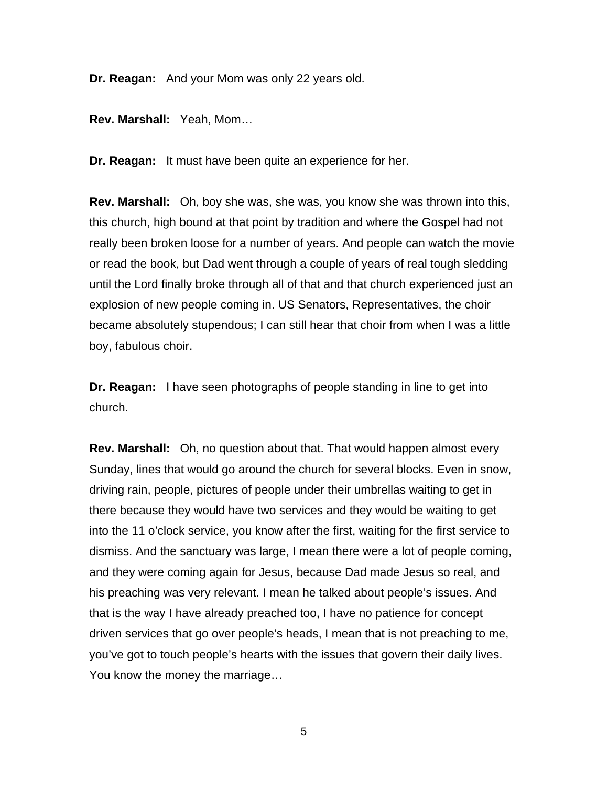**Dr. Reagan:** And your Mom was only 22 years old.

**Rev. Marshall:** Yeah, Mom…

**Dr. Reagan:** It must have been quite an experience for her.

**Rev. Marshall:** Oh, boy she was, she was, you know she was thrown into this, this church, high bound at that point by tradition and where the Gospel had not really been broken loose for a number of years. And people can watch the movie or read the book, but Dad went through a couple of years of real tough sledding until the Lord finally broke through all of that and that church experienced just an explosion of new people coming in. US Senators, Representatives, the choir became absolutely stupendous; I can still hear that choir from when I was a little boy, fabulous choir.

**Dr. Reagan:** I have seen photographs of people standing in line to get into church.

**Rev. Marshall:** Oh, no question about that. That would happen almost every Sunday, lines that would go around the church for several blocks. Even in snow, driving rain, people, pictures of people under their umbrellas waiting to get in there because they would have two services and they would be waiting to get into the 11 o'clock service, you know after the first, waiting for the first service to dismiss. And the sanctuary was large, I mean there were a lot of people coming, and they were coming again for Jesus, because Dad made Jesus so real, and his preaching was very relevant. I mean he talked about people's issues. And that is the way I have already preached too, I have no patience for concept driven services that go over people's heads, I mean that is not preaching to me, you've got to touch people's hearts with the issues that govern their daily lives. You know the money the marriage…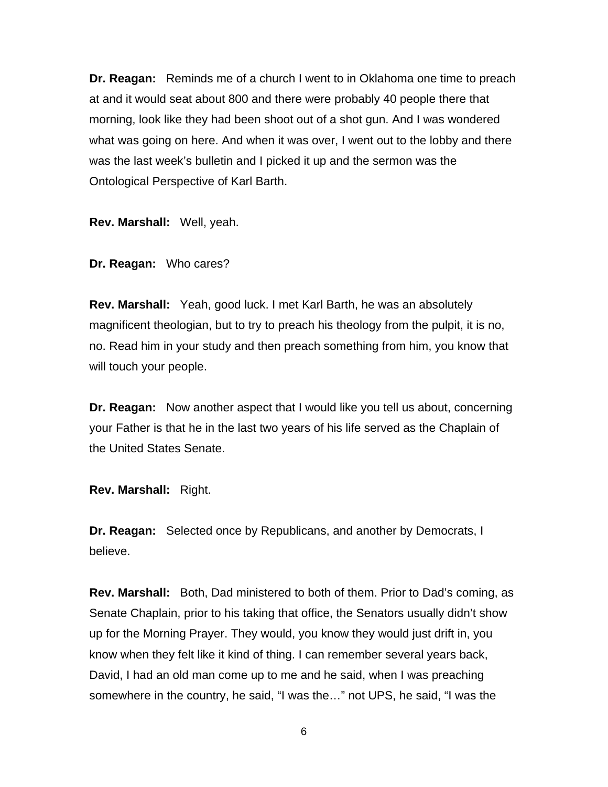**Dr. Reagan:** Reminds me of a church I went to in Oklahoma one time to preach at and it would seat about 800 and there were probably 40 people there that morning, look like they had been shoot out of a shot gun. And I was wondered what was going on here. And when it was over, I went out to the lobby and there was the last week's bulletin and I picked it up and the sermon was the Ontological Perspective of Karl Barth.

**Rev. Marshall:** Well, yeah.

**Dr. Reagan:** Who cares?

**Rev. Marshall:** Yeah, good luck. I met Karl Barth, he was an absolutely magnificent theologian, but to try to preach his theology from the pulpit, it is no, no. Read him in your study and then preach something from him, you know that will touch your people.

**Dr. Reagan:** Now another aspect that I would like you tell us about, concerning your Father is that he in the last two years of his life served as the Chaplain of the United States Senate.

**Rev. Marshall:** Right.

**Dr. Reagan:** Selected once by Republicans, and another by Democrats, I believe.

**Rev. Marshall:** Both, Dad ministered to both of them. Prior to Dad's coming, as Senate Chaplain, prior to his taking that office, the Senators usually didn't show up for the Morning Prayer. They would, you know they would just drift in, you know when they felt like it kind of thing. I can remember several years back, David, I had an old man come up to me and he said, when I was preaching somewhere in the country, he said, "I was the…" not UPS, he said, "I was the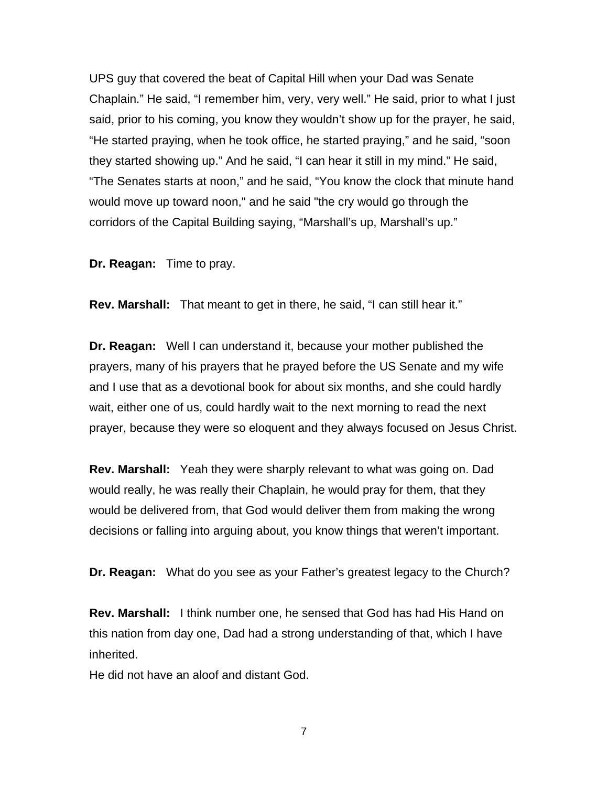UPS guy that covered the beat of Capital Hill when your Dad was Senate Chaplain." He said, "I remember him, very, very well." He said, prior to what I just said, prior to his coming, you know they wouldn't show up for the prayer, he said, "He started praying, when he took office, he started praying," and he said, "soon they started showing up." And he said, "I can hear it still in my mind." He said, "The Senates starts at noon," and he said, "You know the clock that minute hand would move up toward noon," and he said "the cry would go through the corridors of the Capital Building saying, "Marshall's up, Marshall's up."

**Dr. Reagan:** Time to pray.

**Rev. Marshall:** That meant to get in there, he said, "I can still hear it."

**Dr. Reagan:** Well I can understand it, because your mother published the prayers, many of his prayers that he prayed before the US Senate and my wife and I use that as a devotional book for about six months, and she could hardly wait, either one of us, could hardly wait to the next morning to read the next prayer, because they were so eloquent and they always focused on Jesus Christ.

**Rev. Marshall:** Yeah they were sharply relevant to what was going on. Dad would really, he was really their Chaplain, he would pray for them, that they would be delivered from, that God would deliver them from making the wrong decisions or falling into arguing about, you know things that weren't important.

**Dr. Reagan:** What do you see as your Father's greatest legacy to the Church?

**Rev. Marshall:** I think number one, he sensed that God has had His Hand on this nation from day one, Dad had a strong understanding of that, which I have inherited.

He did not have an aloof and distant God.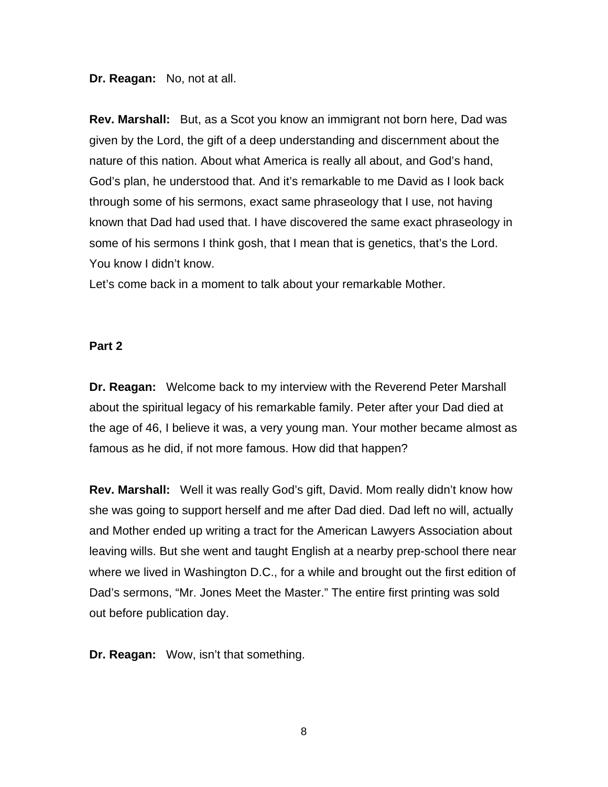**Dr. Reagan:** No, not at all.

**Rev. Marshall:** But, as a Scot you know an immigrant not born here, Dad was given by the Lord, the gift of a deep understanding and discernment about the nature of this nation. About what America is really all about, and God's hand, God's plan, he understood that. And it's remarkable to me David as I look back through some of his sermons, exact same phraseology that I use, not having known that Dad had used that. I have discovered the same exact phraseology in some of his sermons I think gosh, that I mean that is genetics, that's the Lord. You know I didn't know.

Let's come back in a moment to talk about your remarkable Mother.

## **Part 2**

**Dr. Reagan:** Welcome back to my interview with the Reverend Peter Marshall about the spiritual legacy of his remarkable family. Peter after your Dad died at the age of 46, I believe it was, a very young man. Your mother became almost as famous as he did, if not more famous. How did that happen?

**Rev. Marshall:** Well it was really God's gift, David. Mom really didn't know how she was going to support herself and me after Dad died. Dad left no will, actually and Mother ended up writing a tract for the American Lawyers Association about leaving wills. But she went and taught English at a nearby prep-school there near where we lived in Washington D.C., for a while and brought out the first edition of Dad's sermons, "Mr. Jones Meet the Master." The entire first printing was sold out before publication day.

**Dr. Reagan:** Wow, isn't that something.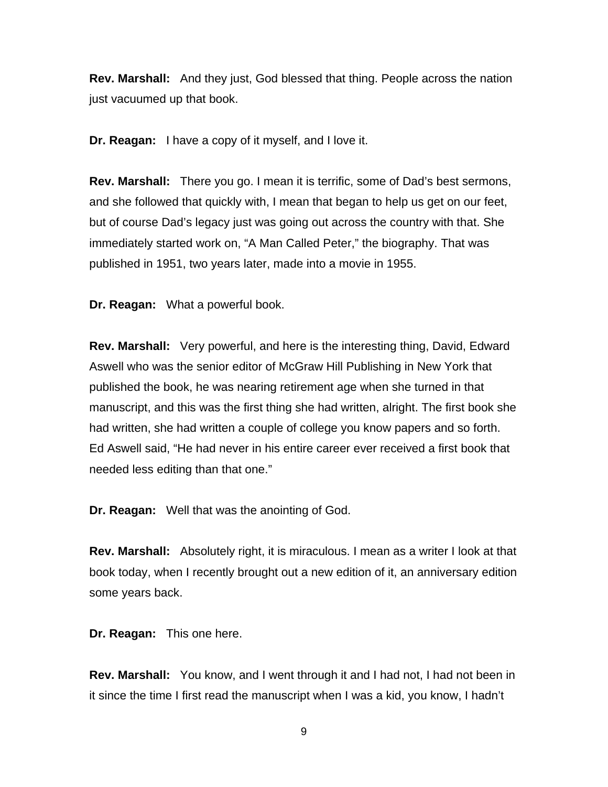**Rev. Marshall:** And they just, God blessed that thing. People across the nation just vacuumed up that book.

**Dr. Reagan:** I have a copy of it myself, and I love it.

**Rev. Marshall:** There you go. I mean it is terrific, some of Dad's best sermons, and she followed that quickly with, I mean that began to help us get on our feet, but of course Dad's legacy just was going out across the country with that. She immediately started work on, "A Man Called Peter," the biography. That was published in 1951, two years later, made into a movie in 1955.

**Dr. Reagan:** What a powerful book.

**Rev. Marshall:** Very powerful, and here is the interesting thing, David, Edward Aswell who was the senior editor of McGraw Hill Publishing in New York that published the book, he was nearing retirement age when she turned in that manuscript, and this was the first thing she had written, alright. The first book she had written, she had written a couple of college you know papers and so forth. Ed Aswell said, "He had never in his entire career ever received a first book that needed less editing than that one."

**Dr. Reagan:** Well that was the anointing of God.

**Rev. Marshall:** Absolutely right, it is miraculous. I mean as a writer I look at that book today, when I recently brought out a new edition of it, an anniversary edition some years back.

**Dr. Reagan:** This one here.

**Rev. Marshall:** You know, and I went through it and I had not, I had not been in it since the time I first read the manuscript when I was a kid, you know, I hadn't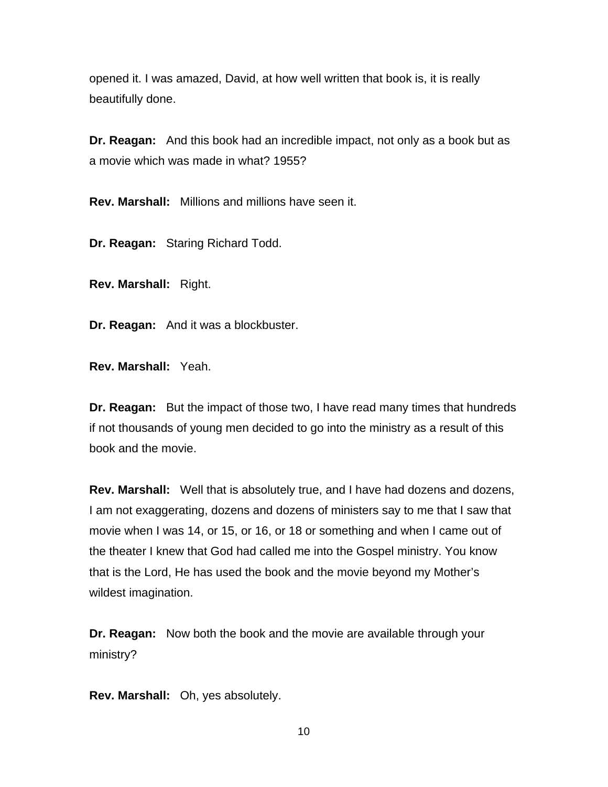opened it. I was amazed, David, at how well written that book is, it is really beautifully done.

**Dr. Reagan:** And this book had an incredible impact, not only as a book but as a movie which was made in what? 1955?

**Rev. Marshall:** Millions and millions have seen it.

**Dr. Reagan:** Staring Richard Todd.

**Rev. Marshall:** Right.

**Dr. Reagan:** And it was a blockbuster.

**Rev. Marshall:** Yeah.

**Dr. Reagan:** But the impact of those two, I have read many times that hundreds if not thousands of young men decided to go into the ministry as a result of this book and the movie.

**Rev. Marshall:** Well that is absolutely true, and I have had dozens and dozens, I am not exaggerating, dozens and dozens of ministers say to me that I saw that movie when I was 14, or 15, or 16, or 18 or something and when I came out of the theater I knew that God had called me into the Gospel ministry. You know that is the Lord, He has used the book and the movie beyond my Mother's wildest imagination.

**Dr. Reagan:** Now both the book and the movie are available through your ministry?

**Rev. Marshall:** Oh, yes absolutely.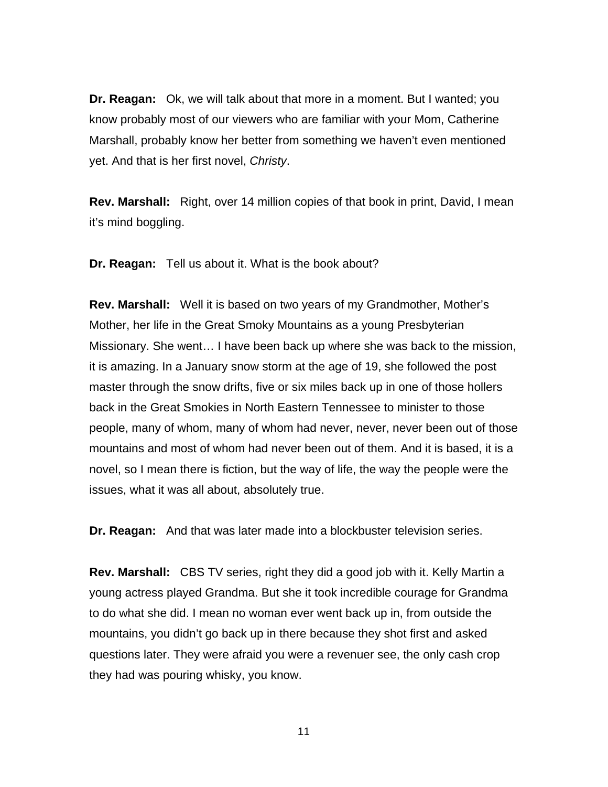**Dr. Reagan:** Ok, we will talk about that more in a moment. But I wanted; you know probably most of our viewers who are familiar with your Mom, Catherine Marshall, probably know her better from something we haven't even mentioned yet. And that is her first novel, *Christy*.

**Rev. Marshall:** Right, over 14 million copies of that book in print, David, I mean it's mind boggling.

**Dr. Reagan:** Tell us about it. What is the book about?

**Rev. Marshall:** Well it is based on two years of my Grandmother, Mother's Mother, her life in the Great Smoky Mountains as a young Presbyterian Missionary. She went… I have been back up where she was back to the mission, it is amazing. In a January snow storm at the age of 19, she followed the post master through the snow drifts, five or six miles back up in one of those hollers back in the Great Smokies in North Eastern Tennessee to minister to those people, many of whom, many of whom had never, never, never been out of those mountains and most of whom had never been out of them. And it is based, it is a novel, so I mean there is fiction, but the way of life, the way the people were the issues, what it was all about, absolutely true.

**Dr. Reagan:** And that was later made into a blockbuster television series.

**Rev. Marshall:** CBS TV series, right they did a good job with it. Kelly Martin a young actress played Grandma. But she it took incredible courage for Grandma to do what she did. I mean no woman ever went back up in, from outside the mountains, you didn't go back up in there because they shot first and asked questions later. They were afraid you were a revenuer see, the only cash crop they had was pouring whisky, you know.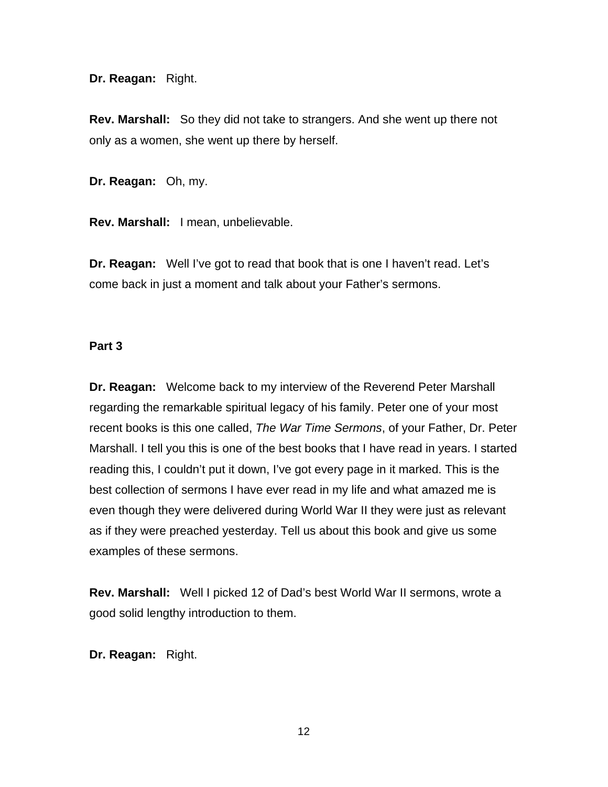**Dr. Reagan:** Right.

**Rev. Marshall:** So they did not take to strangers. And she went up there not only as a women, she went up there by herself.

**Dr. Reagan:** Oh, my.

**Rev. Marshall:** I mean, unbelievable.

**Dr. Reagan:** Well I've got to read that book that is one I haven't read. Let's come back in just a moment and talk about your Father's sermons.

## **Part 3**

**Dr. Reagan:** Welcome back to my interview of the Reverend Peter Marshall regarding the remarkable spiritual legacy of his family. Peter one of your most recent books is this one called, *The War Time Sermons*, of your Father, Dr. Peter Marshall. I tell you this is one of the best books that I have read in years. I started reading this, I couldn't put it down, I've got every page in it marked. This is the best collection of sermons I have ever read in my life and what amazed me is even though they were delivered during World War II they were just as relevant as if they were preached yesterday. Tell us about this book and give us some examples of these sermons.

**Rev. Marshall:** Well I picked 12 of Dad's best World War II sermons, wrote a good solid lengthy introduction to them.

**Dr. Reagan:** Right.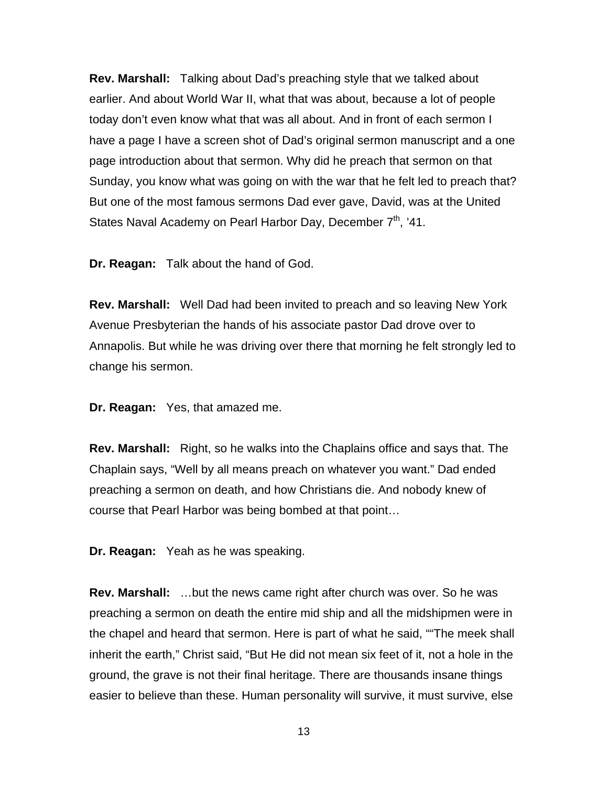**Rev. Marshall:** Talking about Dad's preaching style that we talked about earlier. And about World War II, what that was about, because a lot of people today don't even know what that was all about. And in front of each sermon I have a page I have a screen shot of Dad's original sermon manuscript and a one page introduction about that sermon. Why did he preach that sermon on that Sunday, you know what was going on with the war that he felt led to preach that? But one of the most famous sermons Dad ever gave, David, was at the United States Naval Academy on Pearl Harbor Day, December  $7<sup>th</sup>$ , '41.

**Dr. Reagan:** Talk about the hand of God.

**Rev. Marshall:** Well Dad had been invited to preach and so leaving New York Avenue Presbyterian the hands of his associate pastor Dad drove over to Annapolis. But while he was driving over there that morning he felt strongly led to change his sermon.

**Dr. Reagan:** Yes, that amazed me.

**Rev. Marshall:** Right, so he walks into the Chaplains office and says that. The Chaplain says, "Well by all means preach on whatever you want." Dad ended preaching a sermon on death, and how Christians die. And nobody knew of course that Pearl Harbor was being bombed at that point…

**Dr. Reagan:** Yeah as he was speaking.

**Rev. Marshall:** …but the news came right after church was over. So he was preaching a sermon on death the entire mid ship and all the midshipmen were in the chapel and heard that sermon. Here is part of what he said, ""The meek shall inherit the earth," Christ said, "But He did not mean six feet of it, not a hole in the ground, the grave is not their final heritage. There are thousands insane things easier to believe than these. Human personality will survive, it must survive, else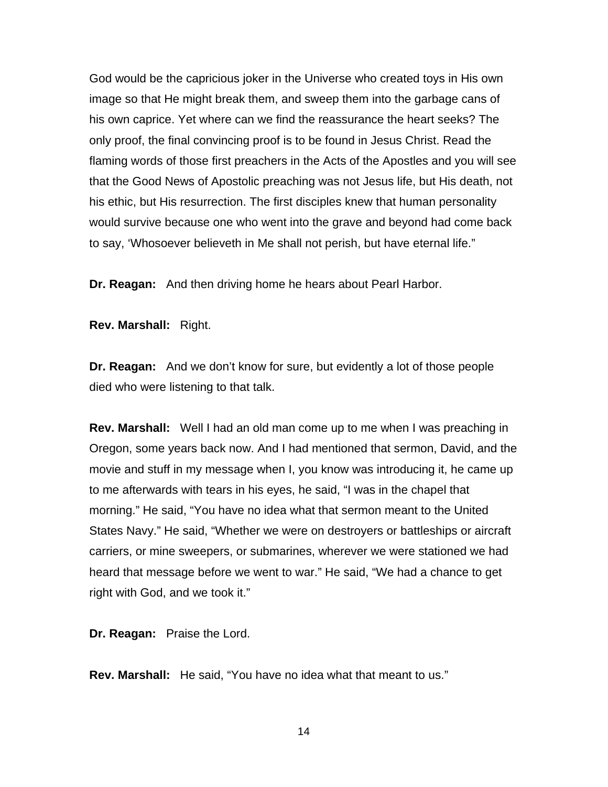God would be the capricious joker in the Universe who created toys in His own image so that He might break them, and sweep them into the garbage cans of his own caprice. Yet where can we find the reassurance the heart seeks? The only proof, the final convincing proof is to be found in Jesus Christ. Read the flaming words of those first preachers in the Acts of the Apostles and you will see that the Good News of Apostolic preaching was not Jesus life, but His death, not his ethic, but His resurrection. The first disciples knew that human personality would survive because one who went into the grave and beyond had come back to say, 'Whosoever believeth in Me shall not perish, but have eternal life."

**Dr. Reagan:** And then driving home he hears about Pearl Harbor.

**Rev. Marshall:** Right.

**Dr. Reagan:** And we don't know for sure, but evidently a lot of those people died who were listening to that talk.

**Rev. Marshall:** Well I had an old man come up to me when I was preaching in Oregon, some years back now. And I had mentioned that sermon, David, and the movie and stuff in my message when I, you know was introducing it, he came up to me afterwards with tears in his eyes, he said, "I was in the chapel that morning." He said, "You have no idea what that sermon meant to the United States Navy." He said, "Whether we were on destroyers or battleships or aircraft carriers, or mine sweepers, or submarines, wherever we were stationed we had heard that message before we went to war." He said, "We had a chance to get right with God, and we took it."

**Dr. Reagan:** Praise the Lord.

**Rev. Marshall:** He said, "You have no idea what that meant to us."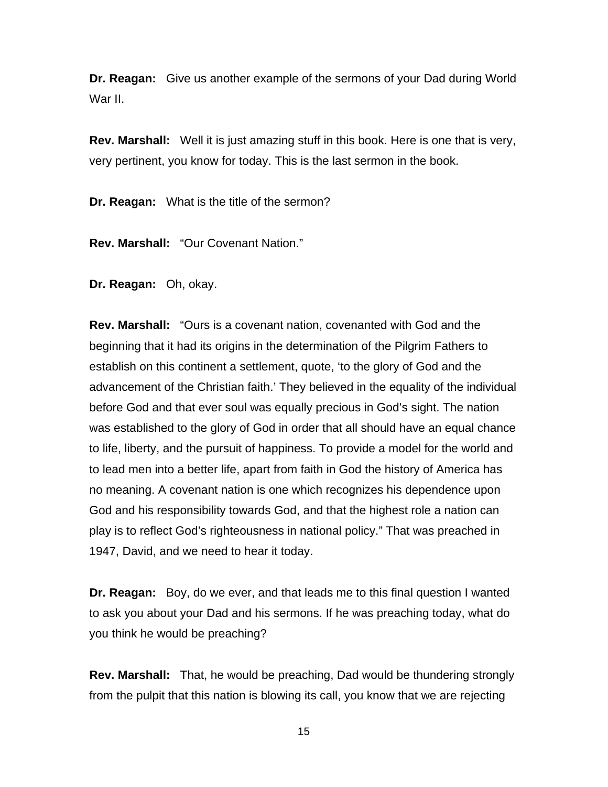**Dr. Reagan:** Give us another example of the sermons of your Dad during World War II.

**Rev. Marshall:** Well it is just amazing stuff in this book. Here is one that is very, very pertinent, you know for today. This is the last sermon in the book.

**Dr. Reagan:** What is the title of the sermon?

**Rev. Marshall:** "Our Covenant Nation."

**Dr. Reagan:** Oh, okay.

**Rev. Marshall:** "Ours is a covenant nation, covenanted with God and the beginning that it had its origins in the determination of the Pilgrim Fathers to establish on this continent a settlement, quote, 'to the glory of God and the advancement of the Christian faith.' They believed in the equality of the individual before God and that ever soul was equally precious in God's sight. The nation was established to the glory of God in order that all should have an equal chance to life, liberty, and the pursuit of happiness. To provide a model for the world and to lead men into a better life, apart from faith in God the history of America has no meaning. A covenant nation is one which recognizes his dependence upon God and his responsibility towards God, and that the highest role a nation can play is to reflect God's righteousness in national policy." That was preached in 1947, David, and we need to hear it today.

**Dr. Reagan:** Boy, do we ever, and that leads me to this final question I wanted to ask you about your Dad and his sermons. If he was preaching today, what do you think he would be preaching?

**Rev. Marshall:** That, he would be preaching, Dad would be thundering strongly from the pulpit that this nation is blowing its call, you know that we are rejecting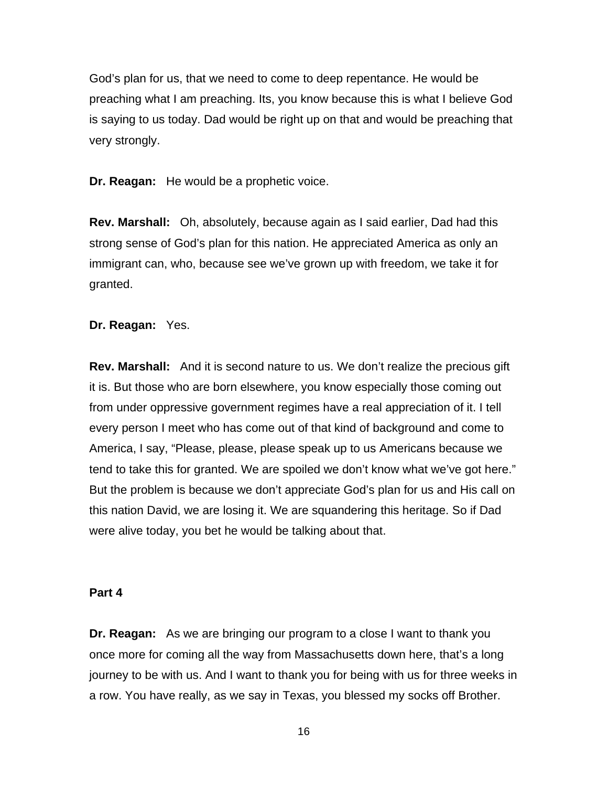God's plan for us, that we need to come to deep repentance. He would be preaching what I am preaching. Its, you know because this is what I believe God is saying to us today. Dad would be right up on that and would be preaching that very strongly.

**Dr. Reagan:** He would be a prophetic voice.

**Rev. Marshall:** Oh, absolutely, because again as I said earlier, Dad had this strong sense of God's plan for this nation. He appreciated America as only an immigrant can, who, because see we've grown up with freedom, we take it for granted.

**Dr. Reagan:** Yes.

**Rev. Marshall:** And it is second nature to us. We don't realize the precious gift it is. But those who are born elsewhere, you know especially those coming out from under oppressive government regimes have a real appreciation of it. I tell every person I meet who has come out of that kind of background and come to America, I say, "Please, please, please speak up to us Americans because we tend to take this for granted. We are spoiled we don't know what we've got here." But the problem is because we don't appreciate God's plan for us and His call on this nation David, we are losing it. We are squandering this heritage. So if Dad were alive today, you bet he would be talking about that.

#### **Part 4**

**Dr. Reagan:** As we are bringing our program to a close I want to thank you once more for coming all the way from Massachusetts down here, that's a long journey to be with us. And I want to thank you for being with us for three weeks in a row. You have really, as we say in Texas, you blessed my socks off Brother.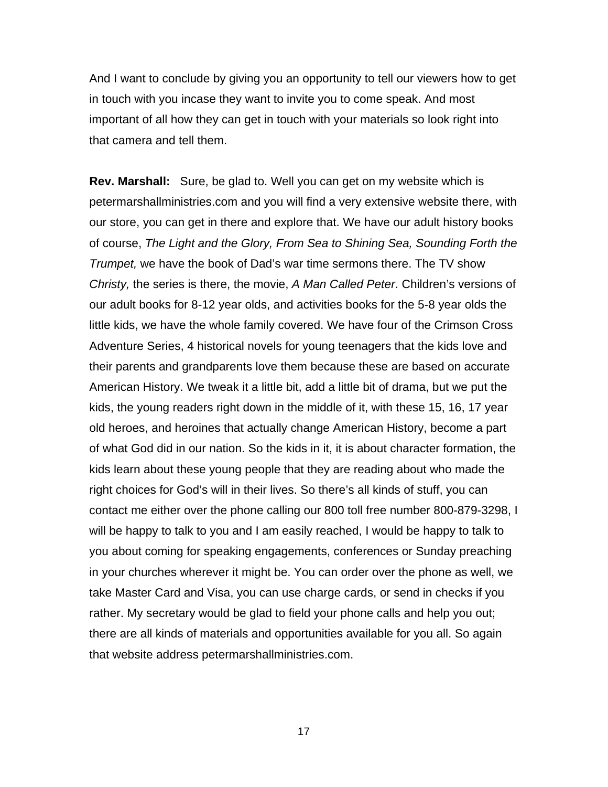And I want to conclude by giving you an opportunity to tell our viewers how to get in touch with you incase they want to invite you to come speak. And most important of all how they can get in touch with your materials so look right into that camera and tell them.

**Rev. Marshall:** Sure, be glad to. Well you can get on my website which is petermarshallministries.com and you will find a very extensive website there, with our store, you can get in there and explore that. We have our adult history books of course, *The Light and the Glory, From Sea to Shining Sea, Sounding Forth the Trumpet,* we have the book of Dad's war time sermons there. The TV show *Christy,* the series is there, the movie, *A Man Called Peter*. Children's versions of our adult books for 8-12 year olds, and activities books for the 5-8 year olds the little kids, we have the whole family covered. We have four of the Crimson Cross Adventure Series, 4 historical novels for young teenagers that the kids love and their parents and grandparents love them because these are based on accurate American History. We tweak it a little bit, add a little bit of drama, but we put the kids, the young readers right down in the middle of it, with these 15, 16, 17 year old heroes, and heroines that actually change American History, become a part of what God did in our nation. So the kids in it, it is about character formation, the kids learn about these young people that they are reading about who made the right choices for God's will in their lives. So there's all kinds of stuff, you can contact me either over the phone calling our 800 toll free number 800-879-3298, I will be happy to talk to you and I am easily reached, I would be happy to talk to you about coming for speaking engagements, conferences or Sunday preaching in your churches wherever it might be. You can order over the phone as well, we take Master Card and Visa, you can use charge cards, or send in checks if you rather. My secretary would be glad to field your phone calls and help you out; there are all kinds of materials and opportunities available for you all. So again that website address petermarshallministries.com.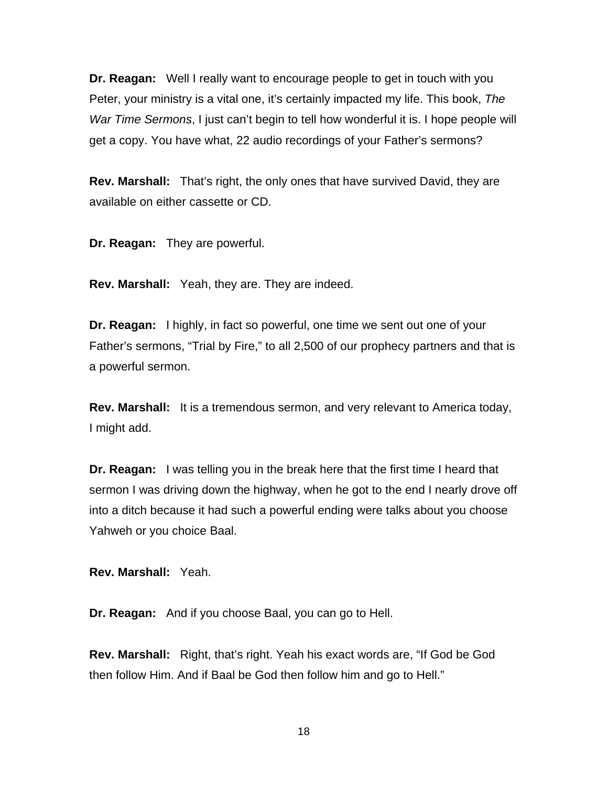**Dr. Reagan:** Well I really want to encourage people to get in touch with you Peter, your ministry is a vital one, it's certainly impacted my life. This book, *The War Time Sermons*, I just can't begin to tell how wonderful it is. I hope people will get a copy. You have what, 22 audio recordings of your Father's sermons?

**Rev. Marshall:** That's right, the only ones that have survived David, they are available on either cassette or CD.

**Dr. Reagan:** They are powerful.

**Rev. Marshall:** Yeah, they are. They are indeed.

**Dr. Reagan:** I highly, in fact so powerful, one time we sent out one of your Father's sermons, "Trial by Fire," to all 2,500 of our prophecy partners and that is a powerful sermon.

**Rev. Marshall:** It is a tremendous sermon, and very relevant to America today, I might add.

**Dr. Reagan:** I was telling you in the break here that the first time I heard that sermon I was driving down the highway, when he got to the end I nearly drove off into a ditch because it had such a powerful ending were talks about you choose Yahweh or you choice Baal.

**Rev. Marshall:** Yeah.

**Dr. Reagan:** And if you choose Baal, you can go to Hell.

**Rev. Marshall:** Right, that's right. Yeah his exact words are, "If God be God then follow Him. And if Baal be God then follow him and go to Hell."